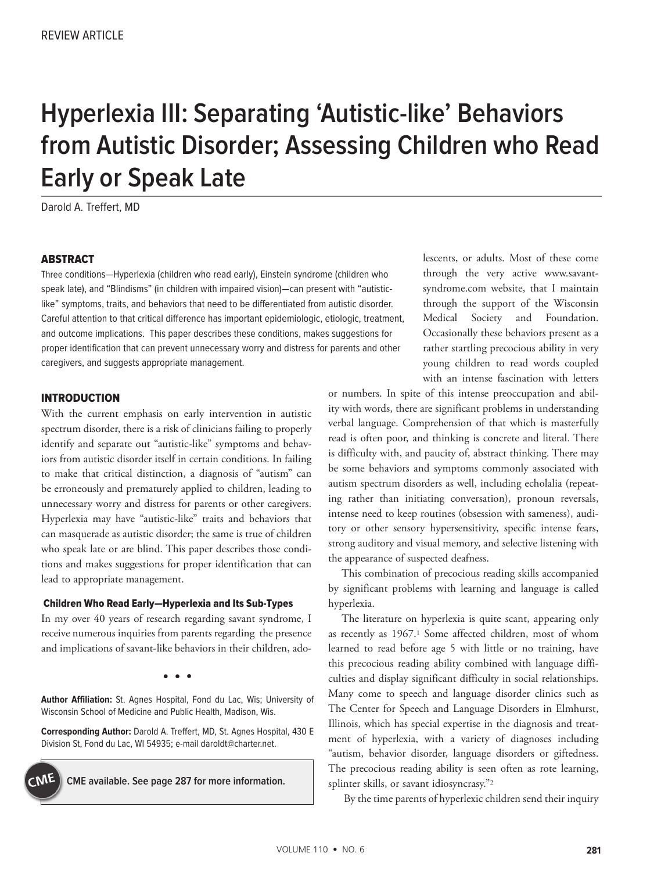# **Hyperlexia III: Separating 'Autistic-like' Behaviors from Autistic Disorder; Assessing Children who Read Early or Speak Late**

Darold A. Treffert, MD

## **ABSTRACT**

Three conditions—Hyperlexia (children who read early), Einstein syndrome (children who speak late), and "Blindisms" (in children with impaired vision)—can present with "autisticlike" symptoms, traits, and behaviors that need to be differentiated from autistic disorder. Careful attention to that critical difference has important epidemiologic, etiologic, treatment, and outcome implications. This paper describes these conditions, makes suggestions for proper identification that can prevent unnecessary worry and distress for parents and other caregivers, and suggests appropriate management.

## INTRODUCTION

With the current emphasis on early intervention in autistic spectrum disorder, there is a risk of clinicians failing to properly identify and separate out "autistic-like" symptoms and behaviors from autistic disorder itself in certain conditions. In failing to make that critical distinction, a diagnosis of "autism" can be erroneously and prematurely applied to children, leading to unnecessary worry and distress for parents or other caregivers. Hyperlexia may have "autistic-like" traits and behaviors that can masquerade as autistic disorder; the same is true of children who speak late or are blind. This paper describes those conditions and makes suggestions for proper identification that can lead to appropriate management.

#### Children Who Read Early—Hyperlexia and Its Sub-Types

In my over 40 years of research regarding savant syndrome, I receive numerous inquiries from parents regarding the presence and implications of savant-like behaviors in their children, ado-

**• •** •

**Author Affiliation:** St. Agnes Hospital, Fond du Lac, Wis; University of Wisconsin School of Medicine and Public Health, Madison, Wis.

**Corresponding Author:** Darold A. Treffert, MD, St. Agnes Hospital, 430 E Division St, Fond du Lac, WI 54935; e-mail daroldt@charter.net.



lescents, or adults. Most of these come through the very active www.savantsyndrome.com website, that I maintain through the support of the Wisconsin Medical Society and Foundation. Occasionally these behaviors present as a rather startling precocious ability in very young children to read words coupled with an intense fascination with letters

or numbers. In spite of this intense preoccupation and ability with words, there are significant problems in understanding verbal language. Comprehension of that which is masterfully read is often poor, and thinking is concrete and literal. There is difficulty with, and paucity of, abstract thinking. There may be some behaviors and symptoms commonly associated with autism spectrum disorders as well, including echolalia (repeating rather than initiating conversation), pronoun reversals, intense need to keep routines (obsession with sameness), auditory or other sensory hypersensitivity, specific intense fears, strong auditory and visual memory, and selective listening with the appearance of suspected deafness.

This combination of precocious reading skills accompanied by significant problems with learning and language is called hyperlexia.

The literature on hyperlexia is quite scant, appearing only as recently as 1967.<sup>1</sup> Some affected children, most of whom learned to read before age 5 with little or no training, have this precocious reading ability combined with language difficulties and display significant difficulty in social relationships. Many come to speech and language disorder clinics such as The Center for Speech and Language Disorders in Elmhurst, Illinois, which has special expertise in the diagnosis and treatment of hyperlexia, with a variety of diagnoses including "autism, behavior disorder, language disorders or giftedness. The precocious reading ability is seen often as rote learning, splinter skills, or savant idiosyncrasy."2

By the time parents of hyperlexic children send their inquiry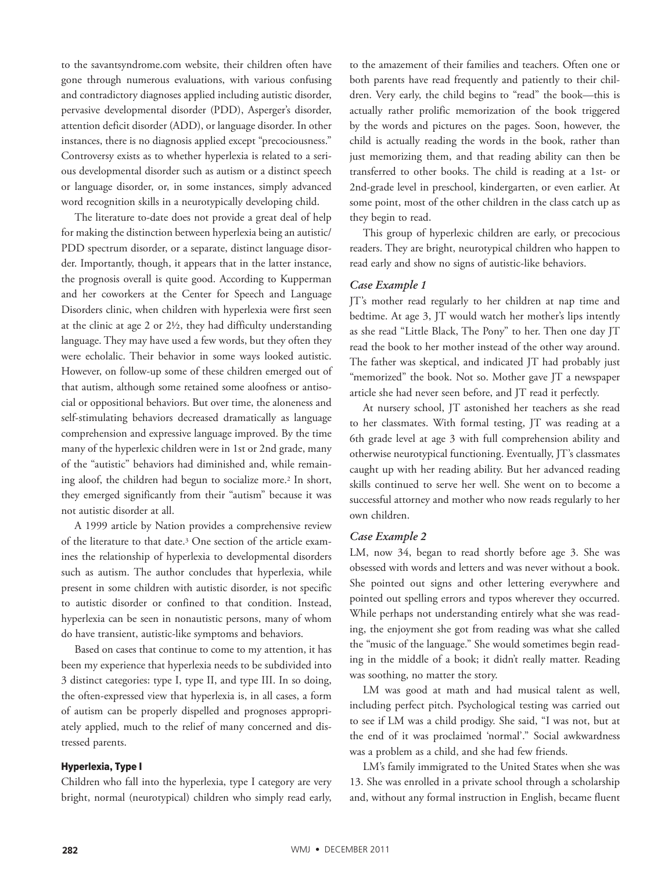to the savantsyndrome.com website, their children often have gone through numerous evaluations, with various confusing and contradictory diagnoses applied including autistic disorder, pervasive developmental disorder (PDD), Asperger's disorder, attention deficit disorder (ADD), or language disorder. In other instances, there is no diagnosis applied except "precociousness." Controversy exists as to whether hyperlexia is related to a serious developmental disorder such as autism or a distinct speech or language disorder, or, in some instances, simply advanced word recognition skills in a neurotypically developing child.

The literature to-date does not provide a great deal of help for making the distinction between hyperlexia being an autistic/ PDD spectrum disorder, or a separate, distinct language disorder. Importantly, though, it appears that in the latter instance, the prognosis overall is quite good. According to Kupperman and her coworkers at the Center for Speech and Language Disorders clinic, when children with hyperlexia were first seen at the clinic at age 2 or 2½, they had difficulty understanding language. They may have used a few words, but they often they were echolalic. Their behavior in some ways looked autistic. However, on follow-up some of these children emerged out of that autism, although some retained some aloofness or antisocial or oppositional behaviors. But over time, the aloneness and self-stimulating behaviors decreased dramatically as language comprehension and expressive language improved. By the time many of the hyperlexic children were in 1st or 2nd grade, many of the "autistic" behaviors had diminished and, while remaining aloof, the children had begun to socialize more.2 In short, they emerged significantly from their "autism" because it was not autistic disorder at all.

A 1999 article by Nation provides a comprehensive review of the literature to that date.3 One section of the article examines the relationship of hyperlexia to developmental disorders such as autism. The author concludes that hyperlexia, while present in some children with autistic disorder, is not specific to autistic disorder or confined to that condition. Instead, hyperlexia can be seen in nonautistic persons, many of whom do have transient, autistic-like symptoms and behaviors.

Based on cases that continue to come to my attention, it has been my experience that hyperlexia needs to be subdivided into 3 distinct categories: type I, type II, and type III. In so doing, the often-expressed view that hyperlexia is, in all cases, a form of autism can be properly dispelled and prognoses appropriately applied, much to the relief of many concerned and distressed parents.

## Hyperlexia, Type I

Children who fall into the hyperlexia, type I category are very bright, normal (neurotypical) children who simply read early,

to the amazement of their families and teachers. Often one or both parents have read frequently and patiently to their children. Very early, the child begins to "read" the book—this is actually rather prolific memorization of the book triggered by the words and pictures on the pages. Soon, however, the child is actually reading the words in the book, rather than just memorizing them, and that reading ability can then be transferred to other books. The child is reading at a 1st- or 2nd-grade level in preschool, kindergarten, or even earlier. At some point, most of the other children in the class catch up as they begin to read.

This group of hyperlexic children are early, or precocious readers. They are bright, neurotypical children who happen to read early and show no signs of autistic-like behaviors.

# *Case Example 1*

JT's mother read regularly to her children at nap time and bedtime. At age 3, JT would watch her mother's lips intently as she read "Little Black, The Pony" to her. Then one day JT read the book to her mother instead of the other way around. The father was skeptical, and indicated JT had probably just "memorized" the book. Not so. Mother gave JT a newspaper article she had never seen before, and JT read it perfectly.

At nursery school, JT astonished her teachers as she read to her classmates. With formal testing, JT was reading at a 6th grade level at age 3 with full comprehension ability and otherwise neurotypical functioning. Eventually, JT's classmates caught up with her reading ability. But her advanced reading skills continued to serve her well. She went on to become a successful attorney and mother who now reads regularly to her own children.

#### *Case Example 2*

LM, now 34, began to read shortly before age 3. She was obsessed with words and letters and was never without a book. She pointed out signs and other lettering everywhere and pointed out spelling errors and typos wherever they occurred. While perhaps not understanding entirely what she was reading, the enjoyment she got from reading was what she called the "music of the language." She would sometimes begin reading in the middle of a book; it didn't really matter. Reading was soothing, no matter the story.

LM was good at math and had musical talent as well, including perfect pitch. Psychological testing was carried out to see if LM was a child prodigy. She said, "I was not, but at the end of it was proclaimed 'normal'." Social awkwardness was a problem as a child, and she had few friends.

LM's family immigrated to the United States when she was 13. She was enrolled in a private school through a scholarship and, without any formal instruction in English, became fluent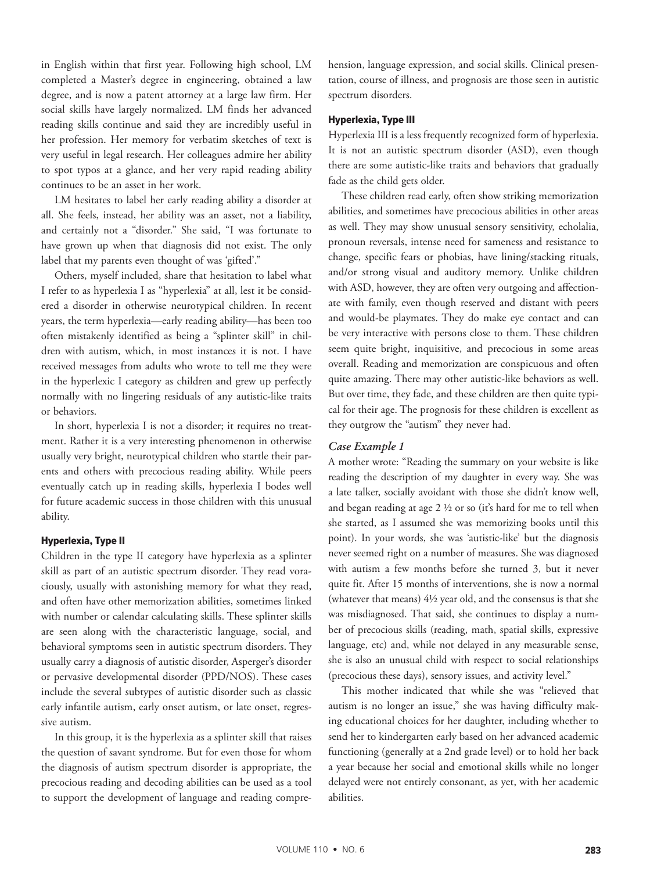in English within that first year. Following high school, LM completed a Master's degree in engineering, obtained a law degree, and is now a patent attorney at a large law firm. Her social skills have largely normalized. LM finds her advanced reading skills continue and said they are incredibly useful in her profession. Her memory for verbatim sketches of text is very useful in legal research. Her colleagues admire her ability to spot typos at a glance, and her very rapid reading ability continues to be an asset in her work.

LM hesitates to label her early reading ability a disorder at all. She feels, instead, her ability was an asset, not a liability, and certainly not a "disorder." She said, "I was fortunate to have grown up when that diagnosis did not exist. The only label that my parents even thought of was 'gifted'."

Others, myself included, share that hesitation to label what I refer to as hyperlexia I as "hyperlexia" at all, lest it be considered a disorder in otherwise neurotypical children. In recent years, the term hyperlexia—early reading ability—has been too often mistakenly identified as being a "splinter skill" in children with autism, which, in most instances it is not. I have received messages from adults who wrote to tell me they were in the hyperlexic I category as children and grew up perfectly normally with no lingering residuals of any autistic-like traits or behaviors.

In short, hyperlexia I is not a disorder; it requires no treatment. Rather it is a very interesting phenomenon in otherwise usually very bright, neurotypical children who startle their parents and others with precocious reading ability. While peers eventually catch up in reading skills, hyperlexia I bodes well for future academic success in those children with this unusual ability.

#### Hyperlexia, Type II

Children in the type II category have hyperlexia as a splinter skill as part of an autistic spectrum disorder. They read voraciously, usually with astonishing memory for what they read, and often have other memorization abilities, sometimes linked with number or calendar calculating skills. These splinter skills are seen along with the characteristic language, social, and behavioral symptoms seen in autistic spectrum disorders. They usually carry a diagnosis of autistic disorder, Asperger's disorder or pervasive developmental disorder (PPD/NOS). These cases include the several subtypes of autistic disorder such as classic early infantile autism, early onset autism, or late onset, regressive autism.

In this group, it is the hyperlexia as a splinter skill that raises the question of savant syndrome. But for even those for whom the diagnosis of autism spectrum disorder is appropriate, the precocious reading and decoding abilities can be used as a tool to support the development of language and reading comprehension, language expression, and social skills. Clinical presentation, course of illness, and prognosis are those seen in autistic spectrum disorders.

#### Hyperlexia, Type III

Hyperlexia III is a less frequently recognized form of hyperlexia. It is not an autistic spectrum disorder (ASD), even though there are some autistic-like traits and behaviors that gradually fade as the child gets older.

These children read early, often show striking memorization abilities, and sometimes have precocious abilities in other areas as well. They may show unusual sensory sensitivity, echolalia, pronoun reversals, intense need for sameness and resistance to change, specific fears or phobias, have lining/stacking rituals, and/or strong visual and auditory memory. Unlike children with ASD, however, they are often very outgoing and affectionate with family, even though reserved and distant with peers and would-be playmates. They do make eye contact and can be very interactive with persons close to them. These children seem quite bright, inquisitive, and precocious in some areas overall. Reading and memorization are conspicuous and often quite amazing. There may other autistic-like behaviors as well. But over time, they fade, and these children are then quite typical for their age. The prognosis for these children is excellent as they outgrow the "autism" they never had.

# *Case Example 1*

A mother wrote: "Reading the summary on your website is like reading the description of my daughter in every way. She was a late talker, socially avoidant with those she didn't know well, and began reading at age 2 ½ or so (it's hard for me to tell when she started, as I assumed she was memorizing books until this point). In your words, she was 'autistic-like' but the diagnosis never seemed right on a number of measures. She was diagnosed with autism a few months before she turned 3, but it never quite fit. After 15 months of interventions, she is now a normal (whatever that means) 4½ year old, and the consensus is that she was misdiagnosed. That said, she continues to display a number of precocious skills (reading, math, spatial skills, expressive language, etc) and, while not delayed in any measurable sense, she is also an unusual child with respect to social relationships (precocious these days), sensory issues, and activity level."

This mother indicated that while she was "relieved that autism is no longer an issue," she was having difficulty making educational choices for her daughter, including whether to send her to kindergarten early based on her advanced academic functioning (generally at a 2nd grade level) or to hold her back a year because her social and emotional skills while no longer delayed were not entirely consonant, as yet, with her academic abilities.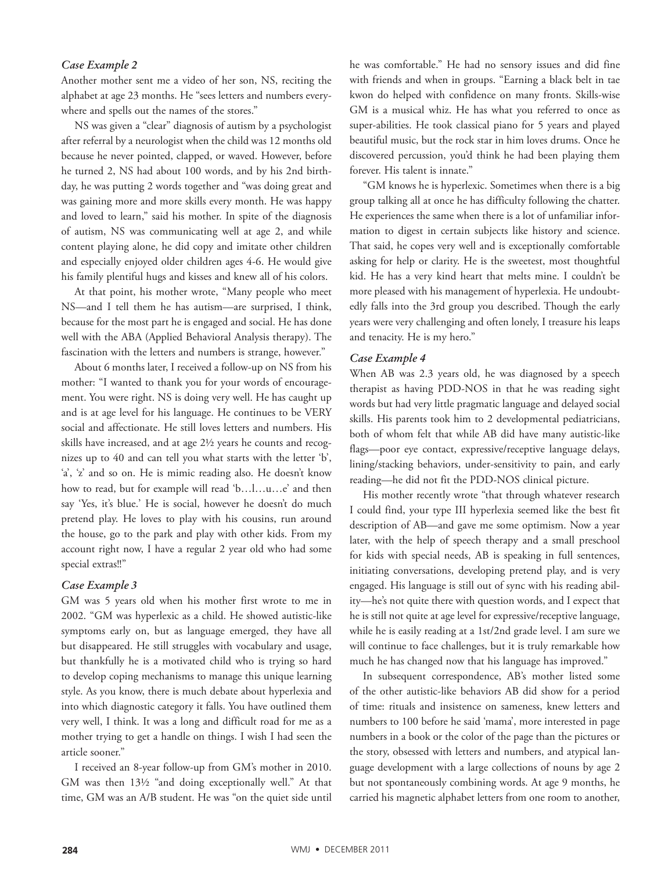## *Case Example 2*

Another mother sent me a video of her son, NS, reciting the alphabet at age 23 months. He "sees letters and numbers everywhere and spells out the names of the stores."

NS was given a "clear" diagnosis of autism by a psychologist after referral by a neurologist when the child was 12 months old because he never pointed, clapped, or waved. However, before he turned 2, NS had about 100 words, and by his 2nd birthday, he was putting 2 words together and "was doing great and was gaining more and more skills every month. He was happy and loved to learn," said his mother. In spite of the diagnosis of autism, NS was communicating well at age 2, and while content playing alone, he did copy and imitate other children and especially enjoyed older children ages 4-6. He would give his family plentiful hugs and kisses and knew all of his colors.

At that point, his mother wrote, "Many people who meet NS—and I tell them he has autism—are surprised, I think, because for the most part he is engaged and social. He has done well with the ABA (Applied Behavioral Analysis therapy). The fascination with the letters and numbers is strange, however."

About 6 months later, I received a follow-up on NS from his mother: "I wanted to thank you for your words of encouragement. You were right. NS is doing very well. He has caught up and is at age level for his language. He continues to be VERY social and affectionate. He still loves letters and numbers. His skills have increased, and at age 2½ years he counts and recognizes up to 40 and can tell you what starts with the letter 'b', 'a', 'z' and so on. He is mimic reading also. He doesn't know how to read, but for example will read 'b…l…u…e' and then say 'Yes, it's blue.' He is social, however he doesn't do much pretend play. He loves to play with his cousins, run around the house, go to the park and play with other kids. From my account right now, I have a regular 2 year old who had some special extras!!"

#### *Case Example 3*

GM was 5 years old when his mother first wrote to me in 2002. "GM was hyperlexic as a child. He showed autistic-like symptoms early on, but as language emerged, they have all but disappeared. He still struggles with vocabulary and usage, but thankfully he is a motivated child who is trying so hard to develop coping mechanisms to manage this unique learning style. As you know, there is much debate about hyperlexia and into which diagnostic category it falls. You have outlined them very well, I think. It was a long and difficult road for me as a mother trying to get a handle on things. I wish I had seen the article sooner."

I received an 8-year follow-up from GM's mother in 2010. GM was then 13½ "and doing exceptionally well." At that time, GM was an A/B student. He was "on the quiet side until he was comfortable." He had no sensory issues and did fine with friends and when in groups. "Earning a black belt in tae kwon do helped with confidence on many fronts. Skills-wise GM is a musical whiz. He has what you referred to once as super-abilities. He took classical piano for 5 years and played beautiful music, but the rock star in him loves drums. Once he discovered percussion, you'd think he had been playing them forever. His talent is innate."

"GM knows he is hyperlexic. Sometimes when there is a big group talking all at once he has difficulty following the chatter. He experiences the same when there is a lot of unfamiliar information to digest in certain subjects like history and science. That said, he copes very well and is exceptionally comfortable asking for help or clarity. He is the sweetest, most thoughtful kid. He has a very kind heart that melts mine. I couldn't be more pleased with his management of hyperlexia. He undoubtedly falls into the 3rd group you described. Though the early years were very challenging and often lonely, I treasure his leaps and tenacity. He is my hero."

#### *Case Example 4*

When AB was 2.3 years old, he was diagnosed by a speech therapist as having PDD-NOS in that he was reading sight words but had very little pragmatic language and delayed social skills. His parents took him to 2 developmental pediatricians, both of whom felt that while AB did have many autistic-like flags—poor eye contact, expressive/receptive language delays, lining/stacking behaviors, under-sensitivity to pain, and early reading—he did not fit the PDD-NOS clinical picture.

His mother recently wrote "that through whatever research I could find, your type III hyperlexia seemed like the best fit description of AB—and gave me some optimism. Now a year later, with the help of speech therapy and a small preschool for kids with special needs, AB is speaking in full sentences, initiating conversations, developing pretend play, and is very engaged. His language is still out of sync with his reading ability—he's not quite there with question words, and I expect that he is still not quite at age level for expressive/receptive language, while he is easily reading at a 1st/2nd grade level. I am sure we will continue to face challenges, but it is truly remarkable how much he has changed now that his language has improved."

In subsequent correspondence, AB's mother listed some of the other autistic-like behaviors AB did show for a period of time: rituals and insistence on sameness, knew letters and numbers to 100 before he said 'mama', more interested in page numbers in a book or the color of the page than the pictures or the story, obsessed with letters and numbers, and atypical language development with a large collections of nouns by age 2 but not spontaneously combining words. At age 9 months, he carried his magnetic alphabet letters from one room to another,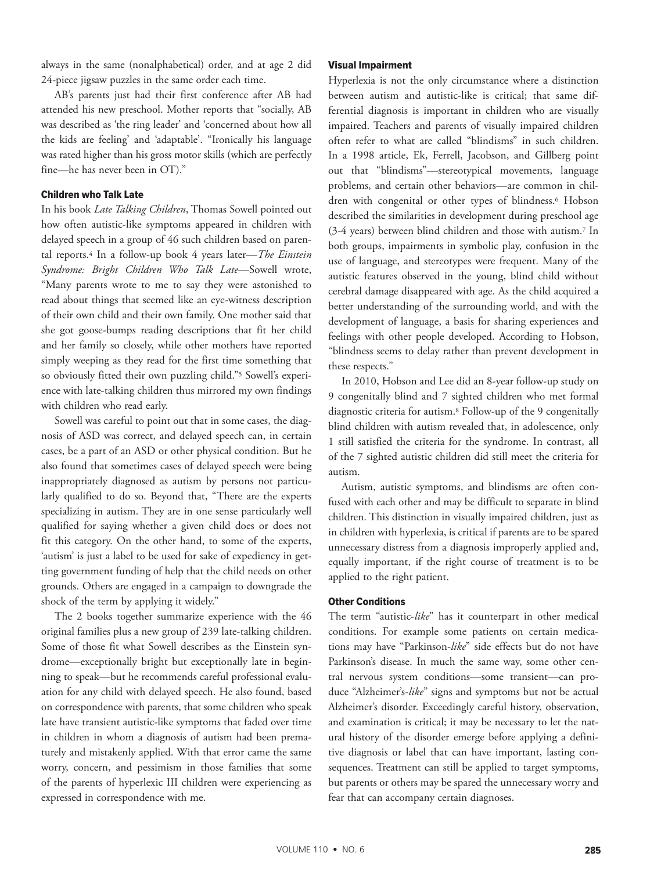always in the same (nonalphabetical) order, and at age 2 did 24-piece jigsaw puzzles in the same order each time.

AB's parents just had their first conference after AB had attended his new preschool. Mother reports that "socially, AB was described as 'the ring leader' and 'concerned about how all the kids are feeling' and 'adaptable'. "Ironically his language was rated higher than his gross motor skills (which are perfectly fine—he has never been in OT)."

#### Children who Talk Late

In his book *Late Talking Children*, Thomas Sowell pointed out how often autistic-like symptoms appeared in children with delayed speech in a group of 46 such children based on parental reports.4 In a follow-up book 4 years later—*The Einstein Syndrome: Bright Children Who Talk Late*—Sowell wrote, "Many parents wrote to me to say they were astonished to read about things that seemed like an eye-witness description of their own child and their own family. One mother said that she got goose-bumps reading descriptions that fit her child and her family so closely, while other mothers have reported simply weeping as they read for the first time something that so obviously fitted their own puzzling child."5 Sowell's experience with late-talking children thus mirrored my own findings with children who read early.

Sowell was careful to point out that in some cases, the diagnosis of ASD was correct, and delayed speech can, in certain cases, be a part of an ASD or other physical condition. But he also found that sometimes cases of delayed speech were being inappropriately diagnosed as autism by persons not particularly qualified to do so. Beyond that, "There are the experts specializing in autism. They are in one sense particularly well qualified for saying whether a given child does or does not fit this category. On the other hand, to some of the experts, 'autism' is just a label to be used for sake of expediency in getting government funding of help that the child needs on other grounds. Others are engaged in a campaign to downgrade the shock of the term by applying it widely."

The 2 books together summarize experience with the 46 original families plus a new group of 239 late-talking children. Some of those fit what Sowell describes as the Einstein syndrome—exceptionally bright but exceptionally late in beginning to speak—but he recommends careful professional evaluation for any child with delayed speech. He also found, based on correspondence with parents, that some children who speak late have transient autistic-like symptoms that faded over time in children in whom a diagnosis of autism had been prematurely and mistakenly applied. With that error came the same worry, concern, and pessimism in those families that some of the parents of hyperlexic III children were experiencing as expressed in correspondence with me.

#### Visual Impairment

Hyperlexia is not the only circumstance where a distinction between autism and autistic-like is critical; that same differential diagnosis is important in children who are visually impaired. Teachers and parents of visually impaired children often refer to what are called "blindisms" in such children. In a 1998 article, Ek, Ferrell, Jacobson, and Gillberg point out that "blindisms"—stereotypical movements, language problems, and certain other behaviors—are common in children with congenital or other types of blindness.<sup>6</sup> Hobson described the similarities in development during preschool age (3-4 years) between blind children and those with autism.7 In both groups, impairments in symbolic play, confusion in the use of language, and stereotypes were frequent. Many of the autistic features observed in the young, blind child without cerebral damage disappeared with age. As the child acquired a better understanding of the surrounding world, and with the development of language, a basis for sharing experiences and feelings with other people developed. According to Hobson, "blindness seems to delay rather than prevent development in these respects."

In 2010, Hobson and Lee did an 8-year follow-up study on 9 congenitally blind and 7 sighted children who met formal diagnostic criteria for autism.8 Follow-up of the 9 congenitally blind children with autism revealed that, in adolescence, only 1 still satisfied the criteria for the syndrome. In contrast, all of the 7 sighted autistic children did still meet the criteria for autism.

Autism, autistic symptoms, and blindisms are often confused with each other and may be difficult to separate in blind children. This distinction in visually impaired children, just as in children with hyperlexia, is critical if parents are to be spared unnecessary distress from a diagnosis improperly applied and, equally important, if the right course of treatment is to be applied to the right patient.

#### Other Conditions

The term "autistic-*like*" has it counterpart in other medical conditions. For example some patients on certain medications may have "Parkinson-*like*" side effects but do not have Parkinson's disease. In much the same way, some other central nervous system conditions—some transient—can produce "Alzheimer's-*like*" signs and symptoms but not be actual Alzheimer's disorder. Exceedingly careful history, observation, and examination is critical; it may be necessary to let the natural history of the disorder emerge before applying a definitive diagnosis or label that can have important, lasting consequences. Treatment can still be applied to target symptoms, but parents or others may be spared the unnecessary worry and fear that can accompany certain diagnoses.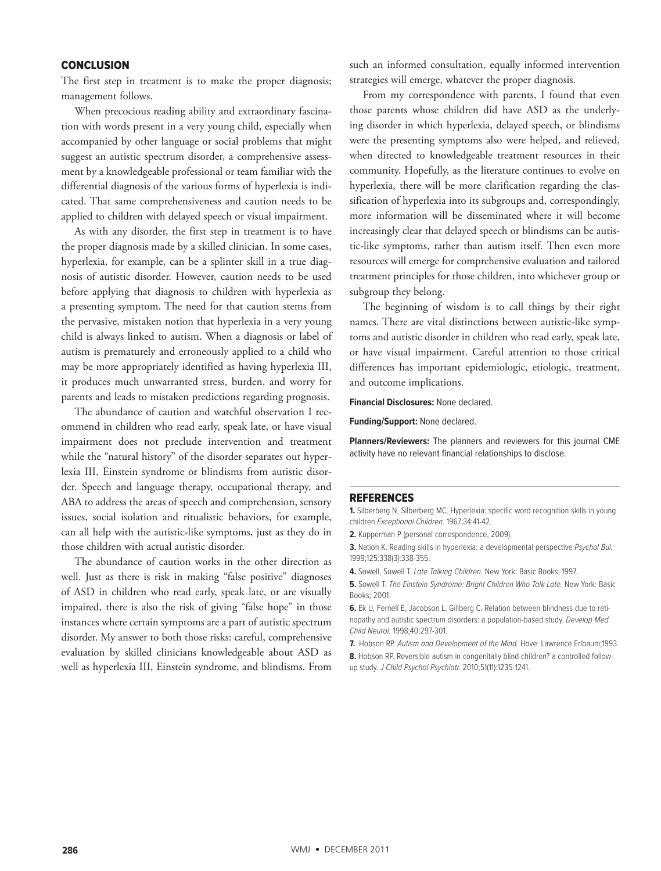## **CONCLUSION**

The first step in treatment is to make the proper diagnosis; management follows.

When precocious reading ability and extraordinary fascination with words present in a very young child, especially when accompanied by other language or social problems that might suggest an autistic spectrum disorder, a comprehensive assessment by a knowledgeable professional or team familiar with the differential diagnosis of the various forms of hyperlexia is indicated. That same comprehensiveness and caution needs to be applied to children with delayed speech or visual impairment.

As with any disorder, the first step in treatment is to have the proper diagnosis made by a skilled clinician. In some cases, hyperlexia, for example, can be a splinter skill in a true diagnosis of autistic disorder. However, caution needs to be used before applying that diagnosis to children with hyperlexia as a presenting symptom. The need for that caution stems from the pervasive, mistaken notion that hyperlexia in a very young child is always linked to autism. When a diagnosis or label of autism is prematurely and erroneously applied to a child who may be more appropriately identified as having hyperlexia III, it produces much unwarranted stress, burden, and worry for parents and leads to mistaken predictions regarding prognosis.

The abundance of caution and watchful observation I recommend in children who read early, speak late, or have visual impairment does not preclude intervention and treatment while the "natural history" of the disorder separates out hyperlexia III, Einstein syndrome or blindisms from autistic disorder. Speech and language therapy, occupational therapy, and ABA to address the areas of speech and comprehension, sensory issues, social isolation and ritualistic behaviors, for example, can all help with the autistic-like symptoms, just as they do in those children with actual autistic disorder.

The abundance of caution works in the other direction as well. Just as there is risk in making "false positive" diagnoses of ASD in children who read early, speak late, or are visually impaired, there is also the risk of giving "false hope" in those instances where certain symptoms are a part of autistic spectrum disorder. My answer to both those risks: careful, comprehensive evaluation by skilled clinicians knowledgeable about ASD as well as hyperlexia III, Einstein syndrome, and blindisms. From

such an informed consultation, equally informed intervention strategies will emerge, whatever the proper diagnosis.

From my correspondence with parents, I found that even those parents whose children did have ASD as the underlying disorder in which hyperlexia, delayed speech, or blindisms were the presenting symptoms also were helped, and relieved, when directed to knowledgeable treatment resources in their community. Hopefully, as the literature continues to evolve on hyperlexia, there will be more clarification regarding the classification of hyperlexia into its subgroups and, correspondingly, more information will be disseminated where it will become increasingly clear that delayed speech or blindisms can be autistic-like symptoms, rather than autism itself. Then even more resources will emerge for comprehensive evaluation and tailored treatment principles for those children, into whichever group or subgroup they belong.

The beginning of wisdom is to call things by their right names. There are vital distinctions between autistic-like symptoms and autistic disorder in children who read early, speak late, or have visual impairment. Careful attention to those critical differences has important epidemiologic, etiologic, treatment, and outcome implications.

**Financial Disclosures:** None declared.

**Funding/Support:** None declared.

**Planners/Reviewers:** The planners and reviewers for this journal CME activity have no relevant financial relationships to disclose.

#### REFERENCES

**1.** Silberberg N, Silberberg MC. Hyperlexia: specific word recognition skills in young children Exceptional Children. 1967;34:41-42.

**2.** Kupperman P (personal correspondence, 2009).

**3.** Nation K. Reading skills in hyperlexia: a developmental perspective Psychol Bul. 1999;125:338(3):338-355.

**4.** Sowell, Sowell T. Late Talking Children. New York: Basic Books; 1997.

**5.** Sowell T. The Einstein Syndrome: Bright Children Who Talk Late. New York: Basic Books; 2001.

**6.** Ek U, Fernell E, Jacobson L, Gillberg C. Relation between blindness due to retinopathy and autistic spectrum disorders: a population-based study. Develop Med Child Neurol. 1998;40:297-301.

**7.** Hobson RP. Autism and Development of the Mind. Hove: Lawrence Erlbaum;1993.

8. Hobson RP. Reversible autism in congenitally blind children? a controlled followup study. J Child Psychol Psychiatr. 2010;51(11):1235-1241.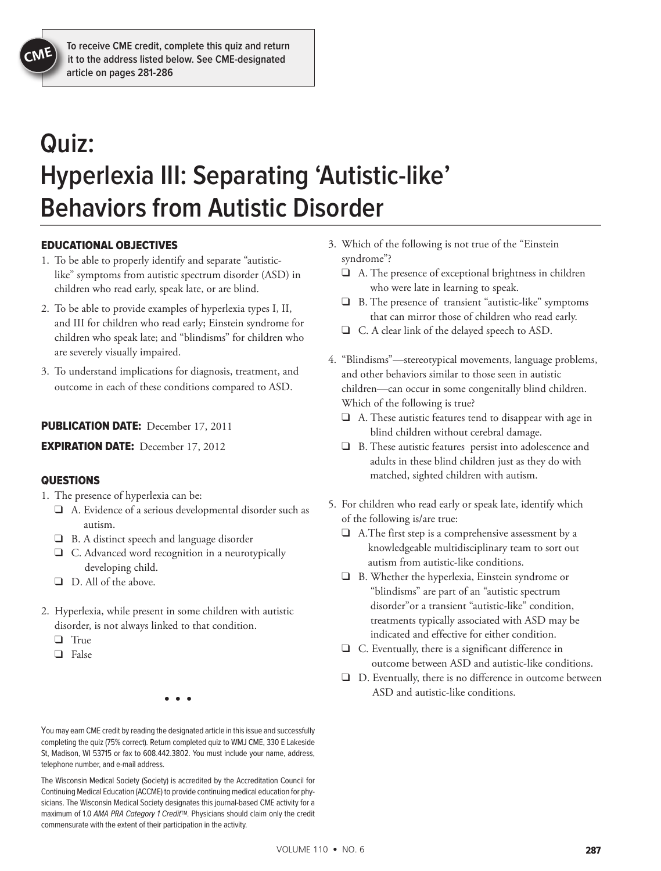# **Quiz: Hyperlexia III: Separating 'Autistic-like' Behaviors from Autistic Disorder**

# EDUCATIONAL OBJECTIVES

- 1. To be able to properly identify and separate "autisticlike" symptoms from autistic spectrum disorder (ASD) in children who read early, speak late, or are blind.
- 2. To be able to provide examples of hyperlexia types I, II, and III for children who read early; Einstein syndrome for children who speak late; and "blindisms" for children who are severely visually impaired.
- 3. To understand implications for diagnosis, treatment, and outcome in each of these conditions compared to ASD.

# PUBLICATION DATE: December 17, 2011

**EXPIRATION DATE:** December 17, 2012

# **QUESTIONS**

- 1. The presence of hyperlexia can be:
	- $\Box$  A. Evidence of a serious developmental disorder such as autism.
	- $\Box$  B. A distinct speech and language disorder
	- $\Box$  C. Advanced word recognition in a neurotypically developing child.
	- $\Box$  D. All of the above.
- 2. Hyperlexia, while present in some children with autistic disorder, is not always linked to that condition.
	- $\Box$  True
	- $\Box$  False

• • •

You may earn CME credit by reading the designated article in this issue and successfully completing the quiz (75% correct). Return completed quiz to WMJ CME, 330 E Lakeside St, Madison, WI 53715 or fax to 608.442.3802. You must include your name, address, telephone number, and e-mail address.

The Wisconsin Medical Society (Society) is accredited by the Accreditation Council for Continuing Medical Education (ACCME) to provide continuing medical education for physicians. The Wisconsin Medical Society designates this journal-based CME activity for a maximum of 1.0 AMA PRA Category 1 Credit™. Physicians should claim only the credit commensurate with the extent of their participation in the activity.

- 3. Which of the following is not true of the "Einstein syndrome"?
	- $\Box$  A. The presence of exceptional brightness in children who were late in learning to speak.
	- $\Box$  B. The presence of transient "autistic-like" symptoms that can mirror those of children who read early.
	- $\Box$  C. A clear link of the delayed speech to ASD.
- 4. "Blindisms"—stereotypical movements, language problems, and other behaviors similar to those seen in autistic children—can occur in some congenitally blind children. Which of the following is true?
	- $\Box$  A. These autistic features tend to disappear with age in blind children without cerebral damage.
	- $\Box$  B. These autistic features persist into adolescence and adults in these blind children just as they do with matched, sighted children with autism.
- 5. For children who read early or speak late, identify which of the following is/are true:
	- $\Box$  A. The first step is a comprehensive assessment by a knowledgeable multidisciplinary team to sort out autism from autistic-like conditions.
	- $\Box$  B. Whether the hyperlexia, Einstein syndrome or "blindisms" are part of an "autistic spectrum disorder"or a transient "autistic-like" condition, treatments typically associated with ASD may be indicated and effective for either condition.
	- $\Box$  C. Eventually, there is a significant difference in outcome between ASD and autistic-like conditions.
	- $\Box$  D. Eventually, there is no difference in outcome between ASD and autistic-like conditions.